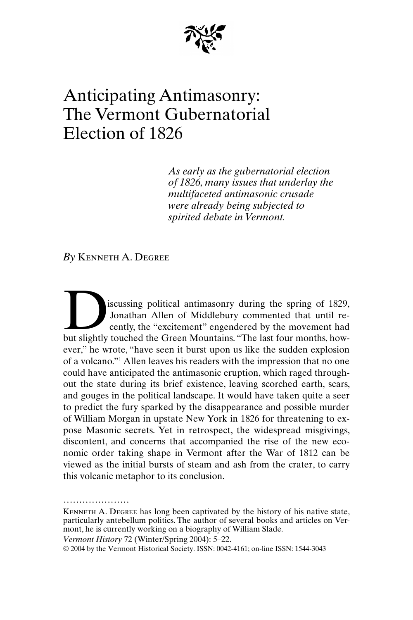

# Anticipating Antimasonry: The Vermont Gubernatorial Election of 1826

*As early as the gubernatorial election of 1826, many issues that underlay the multifaceted antimasonic crusade were already being subjected to spirited debate in Vermont.*

*By* Kenneth A. Degree

iscussing political antimasonry during the spring of 1829, Jonathan Allen of Middlebury commented that until recently, the "excitement" engendered by the movement had iscussing political antimasonry during the spring of 1829, Jonathan Allen of Middlebury commented that until recently, the "excitement" engendered by the movement had but slightly touched the Green Mountains. "The last fou ever," he wrote, "have seen it burst upon us like the sudden explosion of a volcano."1 Allen leaves his readers with the impression that no one could have anticipated the antimasonic eruption, which raged throughout the state during its brief existence, leaving scorched earth, scars, and gouges in the political landscape. It would have taken quite a seer to predict the fury sparked by the disappearance and possible murder of William Morgan in upstate New York in 1826 for threatening to expose Masonic secrets. Yet in retrospect, the widespread misgivings, discontent, and concerns that accompanied the rise of the new economic order taking shape in Vermont after the War of 1812 can be viewed as the initial bursts of steam and ash from the crater, to carry this volcanic metaphor to its conclusion.

*Vermont History* 72 (Winter/Spring 2004): 5–22.

.....................

Kenneth A. Degree has long been captivated by the history of his native state, particularly antebellum politics. The author of several books and articles on Vermont, he is currently working on a biography of William Slade.

<sup>© 2004</sup> by the Vermont Historical Society. ISSN: 0042-4161; on-line ISSN: 1544-3043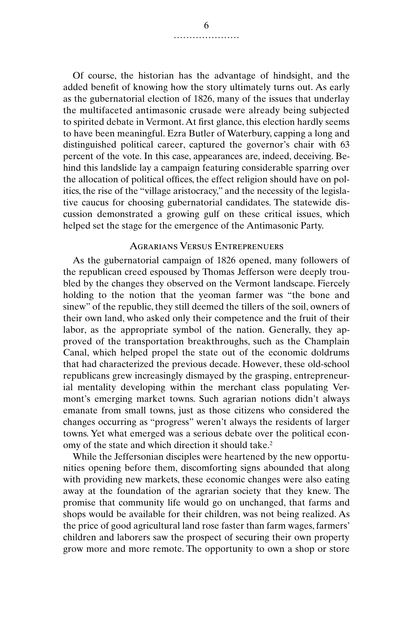Of course, the historian has the advantage of hindsight, and the added benefit of knowing how the story ultimately turns out. As early as the gubernatorial election of 1826, many of the issues that underlay the multifaceted antimasonic crusade were already being subjected to spirited debate in Vermont. At first glance, this election hardly seems to have been meaningful. Ezra Butler of Waterbury, capping a long and distinguished political career, captured the governor's chair with 63 percent of the vote. In this case, appearances are, indeed, deceiving. Behind this landslide lay a campaign featuring considerable sparring over the allocation of political offices, the effect religion should have on politics, the rise of the "village aristocracy," and the necessity of the legislative caucus for choosing gubernatorial candidates. The statewide discussion demonstrated a growing gulf on these critical issues, which helped set the stage for the emergence of the Antimasonic Party.

## Agrarians Versus Entreprenuers

As the gubernatorial campaign of 1826 opened, many followers of the republican creed espoused by Thomas Jefferson were deeply troubled by the changes they observed on the Vermont landscape. Fiercely holding to the notion that the yeoman farmer was "the bone and sinew" of the republic, they still deemed the tillers of the soil, owners of their own land, who asked only their competence and the fruit of their labor, as the appropriate symbol of the nation. Generally, they approved of the transportation breakthroughs, such as the Champlain Canal, which helped propel the state out of the economic doldrums that had characterized the previous decade. However, these old-school republicans grew increasingly dismayed by the grasping, entrepreneurial mentality developing within the merchant class populating Vermont's emerging market towns. Such agrarian notions didn't always emanate from small towns, just as those citizens who considered the changes occurring as "progress" weren't always the residents of larger towns. Yet what emerged was a serious debate over the political economy of the state and which direction it should take.2

While the Jeffersonian disciples were heartened by the new opportunities opening before them, discomforting signs abounded that along with providing new markets, these economic changes were also eating away at the foundation of the agrarian society that they knew. The promise that community life would go on unchanged, that farms and shops would be available for their children, was not being realized. As the price of good agricultural land rose faster than farm wages, farmers' children and laborers saw the prospect of securing their own property grow more and more remote. The opportunity to own a shop or store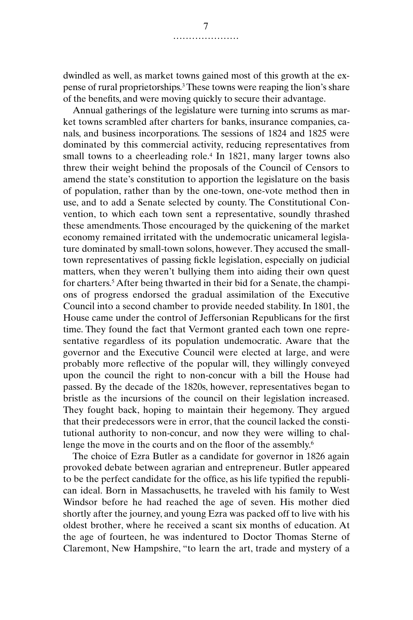dwindled as well, as market towns gained most of this growth at the expense of rural proprietorships.3 These towns were reaping the lion's share of the benefits, and were moving quickly to secure their advantage.

Annual gatherings of the legislature were turning into scrums as market towns scrambled after charters for banks, insurance companies, canals, and business incorporations. The sessions of 1824 and 1825 were dominated by this commercial activity, reducing representatives from small towns to a cheerleading role.<sup>4</sup> In 1821, many larger towns also threw their weight behind the proposals of the Council of Censors to amend the state's constitution to apportion the legislature on the basis of population, rather than by the one-town, one-vote method then in use, and to add a Senate selected by county. The Constitutional Convention, to which each town sent a representative, soundly thrashed these amendments. Those encouraged by the quickening of the market economy remained irritated with the undemocratic unicameral legislature dominated by small-town solons, however. They accused the smalltown representatives of passing fickle legislation, especially on judicial matters, when they weren't bullying them into aiding their own quest for charters.5 After being thwarted in their bid for a Senate, the champions of progress endorsed the gradual assimilation of the Executive Council into a second chamber to provide needed stability. In 1801, the House came under the control of Jeffersonian Republicans for the first time. They found the fact that Vermont granted each town one representative regardless of its population undemocratic. Aware that the governor and the Executive Council were elected at large, and were probably more reflective of the popular will, they willingly conveyed upon the council the right to non-concur with a bill the House had passed. By the decade of the 1820s, however, representatives began to bristle as the incursions of the council on their legislation increased. They fought back, hoping to maintain their hegemony. They argued that their predecessors were in error, that the council lacked the constitutional authority to non-concur, and now they were willing to challenge the move in the courts and on the floor of the assembly.<sup>6</sup>

The choice of Ezra Butler as a candidate for governor in 1826 again provoked debate between agrarian and entrepreneur. Butler appeared to be the perfect candidate for the office, as his life typified the republican ideal. Born in Massachusetts, he traveled with his family to West Windsor before he had reached the age of seven. His mother died shortly after the journey, and young Ezra was packed off to live with his oldest brother, where he received a scant six months of education. At the age of fourteen, he was indentured to Doctor Thomas Sterne of Claremont, New Hampshire, "to learn the art, trade and mystery of a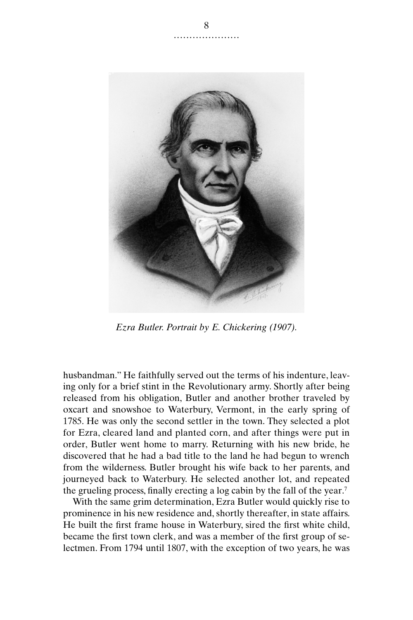

*Ezra Butler. Portrait by E. Chickering (1907).*

husbandman." He faithfully served out the terms of his indenture, leaving only for a brief stint in the Revolutionary army. Shortly after being released from his obligation, Butler and another brother traveled by oxcart and snowshoe to Waterbury, Vermont, in the early spring of 1785. He was only the second settler in the town. They selected a plot for Ezra, cleared land and planted corn, and after things were put in order, Butler went home to marry. Returning with his new bride, he discovered that he had a bad title to the land he had begun to wrench from the wilderness. Butler brought his wife back to her parents, and journeyed back to Waterbury. He selected another lot, and repeated the grueling process, finally erecting a log cabin by the fall of the year.7

With the same grim determination, Ezra Butler would quickly rise to prominence in his new residence and, shortly thereafter, in state affairs. He built the first frame house in Waterbury, sired the first white child, became the first town clerk, and was a member of the first group of selectmen. From 1794 until 1807, with the exception of two years, he was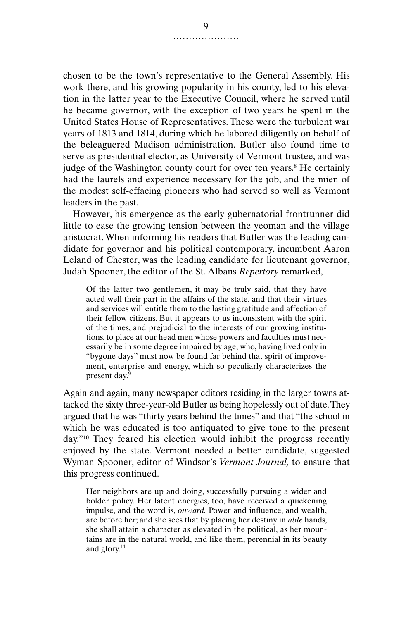chosen to be the town's representative to the General Assembly. His work there, and his growing popularity in his county, led to his elevation in the latter year to the Executive Council, where he served until he became governor, with the exception of two years he spent in the United States House of Representatives. These were the turbulent war years of 1813 and 1814, during which he labored diligently on behalf of the beleaguered Madison administration. Butler also found time to serve as presidential elector, as University of Vermont trustee, and was judge of the Washington county court for over ten years.<sup>8</sup> He certainly had the laurels and experience necessary for the job, and the mien of the modest self-effacing pioneers who had served so well as Vermont leaders in the past.

However, his emergence as the early gubernatorial frontrunner did little to ease the growing tension between the yeoman and the village aristocrat. When informing his readers that Butler was the leading candidate for governor and his political contemporary, incumbent Aaron Leland of Chester, was the leading candidate for lieutenant governor, Judah Spooner, the editor of the St. Albans *Repertory* remarked,

Of the latter two gentlemen, it may be truly said, that they have acted well their part in the affairs of the state, and that their virtues and services will entitle them to the lasting gratitude and affection of their fellow citizens. But it appears to us inconsistent with the spirit of the times, and prejudicial to the interests of our growing institutions, to place at our head men whose powers and faculties must necessarily be in some degree impaired by age; who, having lived only in "bygone days" must now be found far behind that spirit of improvement, enterprise and energy, which so peculiarly characterizes the present day.<sup>9</sup>

Again and again, many newspaper editors residing in the larger towns attacked the sixty three-year-old Butler as being hopelessly out of date. They argued that he was "thirty years behind the times" and that "the school in which he was educated is too antiquated to give tone to the present day."10 They feared his election would inhibit the progress recently enjoyed by the state. Vermont needed a better candidate, suggested Wyman Spooner, editor of Windsor's *Vermont Journal,* to ensure that this progress continued.

Her neighbors are up and doing, successfully pursuing a wider and bolder policy. Her latent energies, too, have received a quickening impulse, and the word is, *onward.* Power and influence, and wealth, are before her; and she sees that by placing her destiny in *able* hands, she shall attain a character as elevated in the political, as her mountains are in the natural world, and like them, perennial in its beauty and glory.<sup>11</sup>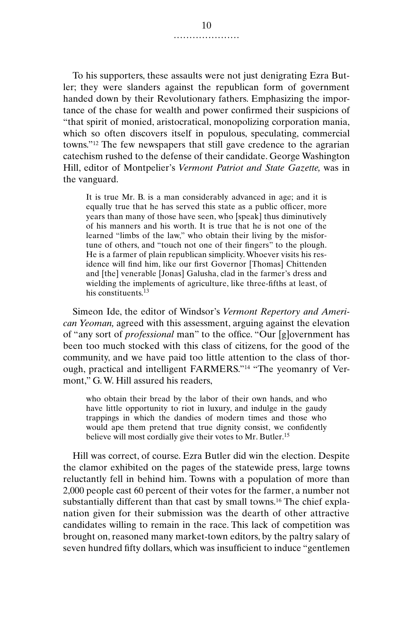To his supporters, these assaults were not just denigrating Ezra Butler; they were slanders against the republican form of government handed down by their Revolutionary fathers. Emphasizing the importance of the chase for wealth and power confirmed their suspicions of "that spirit of monied, aristocratical, monopolizing corporation mania, which so often discovers itself in populous, speculating, commercial towns."12 The few newspapers that still gave credence to the agrarian catechism rushed to the defense of their candidate. George Washington Hill, editor of Montpelier's *Vermont Patriot and State Gazette,* was in the vanguard.

It is true Mr. B. is a man considerably advanced in age; and it is equally true that he has served this state as a public officer, more years than many of those have seen, who [speak] thus diminutively of his manners and his worth. It is true that he is not one of the learned "limbs of the law," who obtain their living by the misfortune of others, and "touch not one of their fingers" to the plough. He is a farmer of plain republican simplicity. Whoever visits his residence will find him, like our first Governor [Thomas] Chittenden and [the] venerable [Jonas] Galusha, clad in the farmer's dress and wielding the implements of agriculture, like three-fifths at least, of his constituents.<sup>13</sup>

Simeon Ide, the editor of Windsor's *Vermont Repertory and American Yeoman,* agreed with this assessment, arguing against the elevation of "any sort of *professional* man" to the office. "Our [g]overnment has been too much stocked with this class of citizens, for the good of the community, and we have paid too little attention to the class of thorough, practical and intelligent FARMERS."14 "The yeomanry of Vermont," G. W. Hill assured his readers,

who obtain their bread by the labor of their own hands, and who have little opportunity to riot in luxury, and indulge in the gaudy trappings in which the dandies of modern times and those who would ape them pretend that true dignity consist, we confidently believe will most cordially give their votes to Mr. Butler.<sup>15</sup>

Hill was correct, of course. Ezra Butler did win the election. Despite the clamor exhibited on the pages of the statewide press, large towns reluctantly fell in behind him. Towns with a population of more than 2,000 people cast 60 percent of their votes for the farmer, a number not substantially different than that cast by small towns.<sup>16</sup> The chief explanation given for their submission was the dearth of other attractive candidates willing to remain in the race. This lack of competition was brought on, reasoned many market-town editors, by the paltry salary of seven hundred fifty dollars, which was insufficient to induce "gentlemen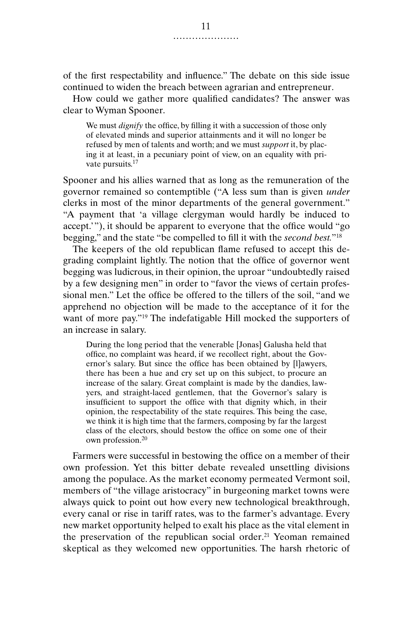of the first respectability and influence." The debate on this side issue continued to widen the breach between agrarian and entrepreneur.

How could we gather more qualified candidates? The answer was clear to Wyman Spooner.

We must *dignify* the office, by filling it with a succession of those only of elevated minds and superior attainments and it will no longer be refused by men of talents and worth; and we must *support* it, by placing it at least, in a pecuniary point of view, on an equality with private pursuits.<sup>17</sup>

Spooner and his allies warned that as long as the remuneration of the governor remained so contemptible ("A less sum than is given *under* clerks in most of the minor departments of the general government." "A payment that 'a village clergyman would hardly be induced to accept.'"), it should be apparent to everyone that the office would "go begging," and the state "be compelled to fill it with the *second best.*"18

The keepers of the old republican flame refused to accept this degrading complaint lightly. The notion that the office of governor went begging was ludicrous, in their opinion, the uproar "undoubtedly raised by a few designing men" in order to "favor the views of certain professional men." Let the office be offered to the tillers of the soil, "and we apprehend no objection will be made to the acceptance of it for the want of more pay."19 The indefatigable Hill mocked the supporters of an increase in salary.

During the long period that the venerable [Jonas] Galusha held that office, no complaint was heard, if we recollect right, about the Governor's salary. But since the office has been obtained by [l]awyers, there has been a hue and cry set up on this subject, to procure an increase of the salary. Great complaint is made by the dandies, lawyers, and straight-laced gentlemen, that the Governor's salary is insufficient to support the office with that dignity which, in their opinion, the respectability of the state requires. This being the case, we think it is high time that the farmers, composing by far the largest class of the electors, should bestow the office on some one of their own profession.<sup>20</sup>

Farmers were successful in bestowing the office on a member of their own profession. Yet this bitter debate revealed unsettling divisions among the populace. As the market economy permeated Vermont soil, members of "the village aristocracy" in burgeoning market towns were always quick to point out how every new technological breakthrough, every canal or rise in tariff rates, was to the farmer's advantage. Every new market opportunity helped to exalt his place as the vital element in the preservation of the republican social order.<sup>21</sup> Yeoman remained skeptical as they welcomed new opportunities. The harsh rhetoric of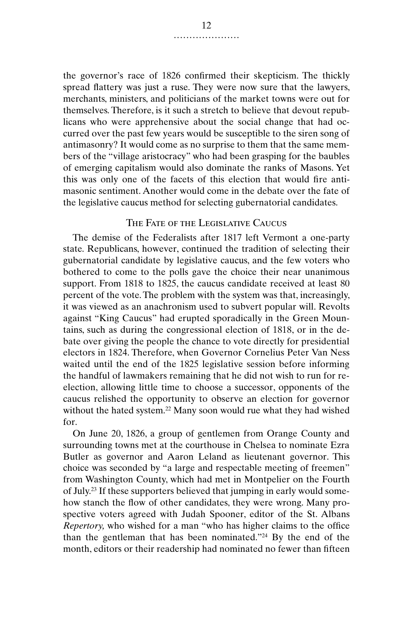the governor's race of 1826 confirmed their skepticism. The thickly spread flattery was just a ruse. They were now sure that the lawyers, merchants, ministers, and politicians of the market towns were out for themselves. Therefore, is it such a stretch to believe that devout republicans who were apprehensive about the social change that had occurred over the past few years would be susceptible to the siren song of antimasonry? It would come as no surprise to them that the same members of the "village aristocracy" who had been grasping for the baubles of emerging capitalism would also dominate the ranks of Masons. Yet this was only one of the facets of this election that would fire antimasonic sentiment. Another would come in the debate over the fate of the legislative caucus method for selecting gubernatorial candidates.

## The Fate of the Legislative Caucus

The demise of the Federalists after 1817 left Vermont a one-party state. Republicans, however, continued the tradition of selecting their gubernatorial candidate by legislative caucus, and the few voters who bothered to come to the polls gave the choice their near unanimous support. From 1818 to 1825, the caucus candidate received at least 80 percent of the vote. The problem with the system was that, increasingly, it was viewed as an anachronism used to subvert popular will. Revolts against "King Caucus" had erupted sporadically in the Green Mountains, such as during the congressional election of 1818, or in the debate over giving the people the chance to vote directly for presidential electors in 1824. Therefore, when Governor Cornelius Peter Van Ness waited until the end of the 1825 legislative session before informing the handful of lawmakers remaining that he did not wish to run for reelection, allowing little time to choose a successor, opponents of the caucus relished the opportunity to observe an election for governor without the hated system.<sup>22</sup> Many soon would rue what they had wished for.

On June 20, 1826, a group of gentlemen from Orange County and surrounding towns met at the courthouse in Chelsea to nominate Ezra Butler as governor and Aaron Leland as lieutenant governor. This choice was seconded by "a large and respectable meeting of freemen" from Washington County, which had met in Montpelier on the Fourth of July.23 If these supporters believed that jumping in early would somehow stanch the flow of other candidates, they were wrong. Many prospective voters agreed with Judah Spooner, editor of the St. Albans *Repertory,* who wished for a man "who has higher claims to the office than the gentleman that has been nominated."24 By the end of the month, editors or their readership had nominated no fewer than fifteen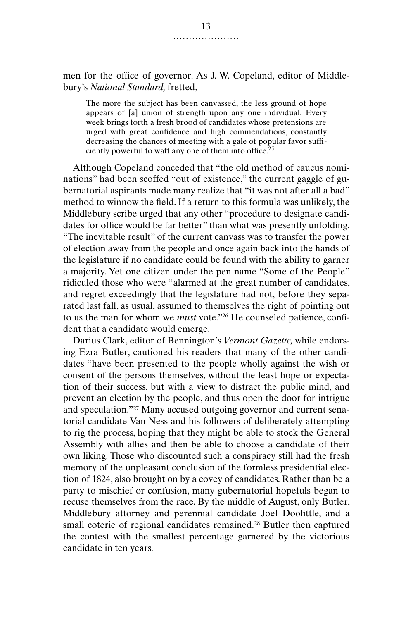men for the office of governor. As J. W. Copeland, editor of Middlebury's *National Standard,* fretted,

The more the subject has been canvassed, the less ground of hope appears of [a] union of strength upon any one individual. Every week brings forth a fresh brood of candidates whose pretensions are urged with great confidence and high commendations, constantly decreasing the chances of meeting with a gale of popular favor sufficiently powerful to waft any one of them into office.<sup>25</sup>

Although Copeland conceded that "the old method of caucus nominations" had been scoffed "out of existence," the current gaggle of gubernatorial aspirants made many realize that "it was not after all a bad" method to winnow the field. If a return to this formula was unlikely, the Middlebury scribe urged that any other "procedure to designate candidates for office would be far better" than what was presently unfolding. "The inevitable result" of the current canvass was to transfer the power of election away from the people and once again back into the hands of the legislature if no candidate could be found with the ability to garner a majority. Yet one citizen under the pen name "Some of the People" ridiculed those who were "alarmed at the great number of candidates, and regret exceedingly that the legislature had not, before they separated last fall, as usual, assumed to themselves the right of pointing out to us the man for whom we *must* vote."26 He counseled patience, confident that a candidate would emerge.

Darius Clark, editor of Bennington's *Vermont Gazette,* while endorsing Ezra Butler, cautioned his readers that many of the other candidates "have been presented to the people wholly against the wish or consent of the persons themselves, without the least hope or expectation of their success, but with a view to distract the public mind, and prevent an election by the people, and thus open the door for intrigue and speculation."27 Many accused outgoing governor and current senatorial candidate Van Ness and his followers of deliberately attempting to rig the process, hoping that they might be able to stock the General Assembly with allies and then be able to choose a candidate of their own liking. Those who discounted such a conspiracy still had the fresh memory of the unpleasant conclusion of the formless presidential election of 1824, also brought on by a covey of candidates. Rather than be a party to mischief or confusion, many gubernatorial hopefuls began to recuse themselves from the race. By the middle of August, only Butler, Middlebury attorney and perennial candidate Joel Doolittle, and a small coterie of regional candidates remained.<sup>28</sup> Butler then captured the contest with the smallest percentage garnered by the victorious candidate in ten years.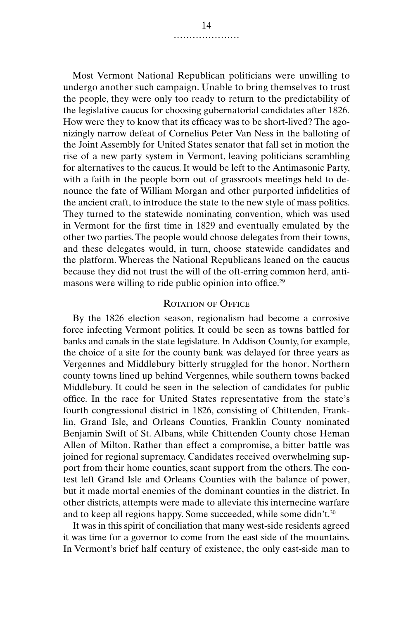Most Vermont National Republican politicians were unwilling to undergo another such campaign. Unable to bring themselves to trust the people, they were only too ready to return to the predictability of the legislative caucus for choosing gubernatorial candidates after 1826. How were they to know that its efficacy was to be short-lived? The agonizingly narrow defeat of Cornelius Peter Van Ness in the balloting of the Joint Assembly for United States senator that fall set in motion the rise of a new party system in Vermont, leaving politicians scrambling for alternatives to the caucus. It would be left to the Antimasonic Party, with a faith in the people born out of grassroots meetings held to denounce the fate of William Morgan and other purported infidelities of the ancient craft, to introduce the state to the new style of mass politics. They turned to the statewide nominating convention, which was used in Vermont for the first time in 1829 and eventually emulated by the other two parties. The people would choose delegates from their towns, and these delegates would, in turn, choose statewide candidates and the platform. Whereas the National Republicans leaned on the caucus because they did not trust the will of the oft-erring common herd, antimasons were willing to ride public opinion into office.29

#### ROTATION OF OFFICE

By the 1826 election season, regionalism had become a corrosive force infecting Vermont politics. It could be seen as towns battled for banks and canals in the state legislature. In Addison County, for example, the choice of a site for the county bank was delayed for three years as Vergennes and Middlebury bitterly struggled for the honor. Northern county towns lined up behind Vergennes, while southern towns backed Middlebury. It could be seen in the selection of candidates for public office. In the race for United States representative from the state's fourth congressional district in 1826, consisting of Chittenden, Franklin, Grand Isle, and Orleans Counties, Franklin County nominated Benjamin Swift of St. Albans, while Chittenden County chose Heman Allen of Milton. Rather than effect a compromise, a bitter battle was joined for regional supremacy. Candidates received overwhelming support from their home counties, scant support from the others. The contest left Grand Isle and Orleans Counties with the balance of power, but it made mortal enemies of the dominant counties in the district. In other districts, attempts were made to alleviate this internecine warfare and to keep all regions happy. Some succeeded, while some didn't.<sup>30</sup>

It was in this spirit of conciliation that many west-side residents agreed it was time for a governor to come from the east side of the mountains. In Vermont's brief half century of existence, the only east-side man to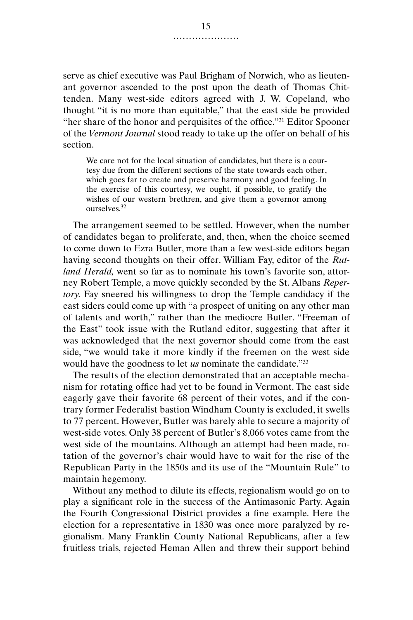serve as chief executive was Paul Brigham of Norwich, who as lieutenant governor ascended to the post upon the death of Thomas Chittenden. Many west-side editors agreed with J. W. Copeland, who thought "it is no more than equitable," that the east side be provided "her share of the honor and perquisites of the office."31 Editor Spooner of the *Vermont Journal* stood ready to take up the offer on behalf of his section.

We care not for the local situation of candidates, but there is a courtesy due from the different sections of the state towards each other, which goes far to create and preserve harmony and good feeling. In the exercise of this courtesy, we ought, if possible, to gratify the wishes of our western brethren, and give them a governor among ourselves.<sup>32</sup>

The arrangement seemed to be settled. However, when the number of candidates began to proliferate, and, then, when the choice seemed to come down to Ezra Butler, more than a few west-side editors began having second thoughts on their offer. William Fay, editor of the *Rutland Herald,* went so far as to nominate his town's favorite son, attorney Robert Temple, a move quickly seconded by the St. Albans *Repertory.* Fay sneered his willingness to drop the Temple candidacy if the east siders could come up with "a prospect of uniting on any other man of talents and worth," rather than the mediocre Butler. "Freeman of the East" took issue with the Rutland editor, suggesting that after it was acknowledged that the next governor should come from the east side, "we would take it more kindly if the freemen on the west side would have the goodness to let *us* nominate the candidate."33

The results of the election demonstrated that an acceptable mechanism for rotating office had yet to be found in Vermont. The east side eagerly gave their favorite 68 percent of their votes, and if the contrary former Federalist bastion Windham County is excluded, it swells to 77 percent. However, Butler was barely able to secure a majority of west-side votes. Only 38 percent of Butler's 8,066 votes came from the west side of the mountains. Although an attempt had been made, rotation of the governor's chair would have to wait for the rise of the Republican Party in the 1850s and its use of the "Mountain Rule" to maintain hegemony.

Without any method to dilute its effects, regionalism would go on to play a significant role in the success of the Antimasonic Party. Again the Fourth Congressional District provides a fine example. Here the election for a representative in 1830 was once more paralyzed by regionalism. Many Franklin County National Republicans, after a few fruitless trials, rejected Heman Allen and threw their support behind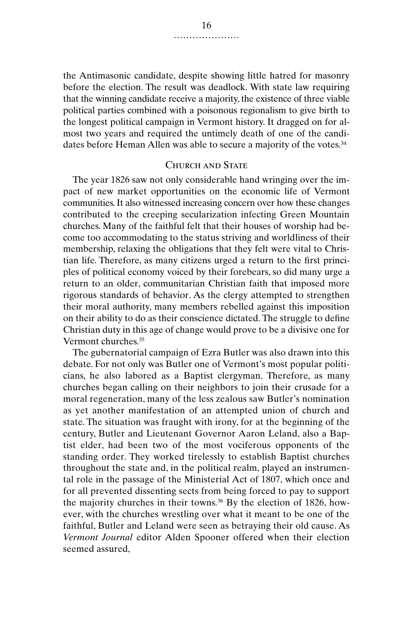the Antimasonic candidate, despite showing little hatred for masonry before the election. The result was deadlock. With state law requiring that the winning candidate receive a majority, the existence of three viable political parties combined with a poisonous regionalism to give birth to the longest political campaign in Vermont history. It dragged on for almost two years and required the untimely death of one of the candidates before Heman Allen was able to secure a majority of the votes.<sup>34</sup>

## CHURCH AND STATE

The year 1826 saw not only considerable hand wringing over the impact of new market opportunities on the economic life of Vermont communities. It also witnessed increasing concern over how these changes contributed to the creeping secularization infecting Green Mountain churches. Many of the faithful felt that their houses of worship had become too accommodating to the status striving and worldliness of their membership, relaxing the obligations that they felt were vital to Christian life. Therefore, as many citizens urged a return to the first principles of political economy voiced by their forebears, so did many urge a return to an older, communitarian Christian faith that imposed more rigorous standards of behavior. As the clergy attempted to strengthen their moral authority, many members rebelled against this imposition on their ability to do as their conscience dictated. The struggle to define Christian duty in this age of change would prove to be a divisive one for Vermont churches.35

The gubernatorial campaign of Ezra Butler was also drawn into this debate. For not only was Butler one of Vermont's most popular politicians, he also labored as a Baptist clergyman. Therefore, as many churches began calling on their neighbors to join their crusade for a moral regeneration, many of the less zealous saw Butler's nomination as yet another manifestation of an attempted union of church and state. The situation was fraught with irony, for at the beginning of the century, Butler and Lieutenant Governor Aaron Leland, also a Baptist elder, had been two of the most vociferous opponents of the standing order. They worked tirelessly to establish Baptist churches throughout the state and, in the political realm, played an instrumental role in the passage of the Ministerial Act of 1807, which once and for all prevented dissenting sects from being forced to pay to support the majority churches in their towns.<sup>36</sup> By the election of 1826, however, with the churches wrestling over what it meant to be one of the faithful, Butler and Leland were seen as betraying their old cause. As *Vermont Journal* editor Alden Spooner offered when their election seemed assured,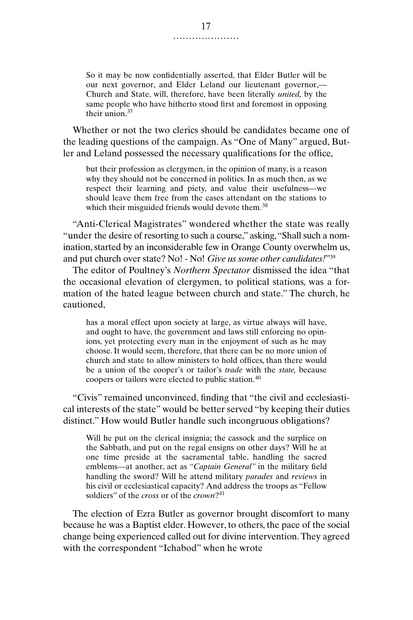So it may be now confidentially asserted, that Elder Butler will be our next governor, and Elder Leland our lieutenant governor,— Church and State, will, therefore, have been literally *united,* by the same people who have hitherto stood first and foremost in opposing their union.<sup>37</sup>

Whether or not the two clerics should be candidates became one of the leading questions of the campaign. As "One of Many" argued, Butler and Leland possessed the necessary qualifications for the office,

but their profession as clergymen, in the opinion of many, is a reason why they should not be concerned in politics. In as much then, as we respect their learning and piety, and value their usefulness—we should leave them free from the cases attendant on the stations to which their misguided friends would devote them.<sup>38</sup>

"Anti-Clerical Magistrates" wondered whether the state was really "under the desire of resorting to such a course," asking, "Shall such a nomination, started by an inconsiderable few in Orange County overwhelm us, and put church over state? No! - No! *Give us some other candidates!*"39

The editor of Poultney's *Northern Spectator* dismissed the idea "that the occasional elevation of clergymen, to political stations, was a formation of the hated league between church and state." The church, he cautioned,

has a moral effect upon society at large, as virtue always will have, and ought to have, the government and laws still enforcing no opinions, yet protecting every man in the enjoyment of such as he may choose. It would seem, therefore, that there can be no more union of church and state to allow ministers to hold offices, than there would be a union of the cooper's or tailor's *trade* with the *state,* because coopers or tailors were elected to public station.<sup>40</sup>

"Civis" remained unconvinced, finding that "the civil and ecclesiastical interests of the state" would be better served "by keeping their duties distinct." How would Butler handle such incongruous obligations?

Will he put on the clerical insignia; the cassock and the surplice on the Sabbath, and put on the regal ensigns on other days? Will he at one time preside at the sacramental table, handling the sacred emblems—at another, act as *"Captain General"* in the military field handling the sword? Will he attend military *parades* and *reviews* in his civil or ecclesiastical capacity? And address the troops as "Fellow soldiers" of the *cross* or of the *crown*?<sup>41</sup>

The election of Ezra Butler as governor brought discomfort to many because he was a Baptist elder. However, to others, the pace of the social change being experienced called out for divine intervention. They agreed with the correspondent "Ichabod" when he wrote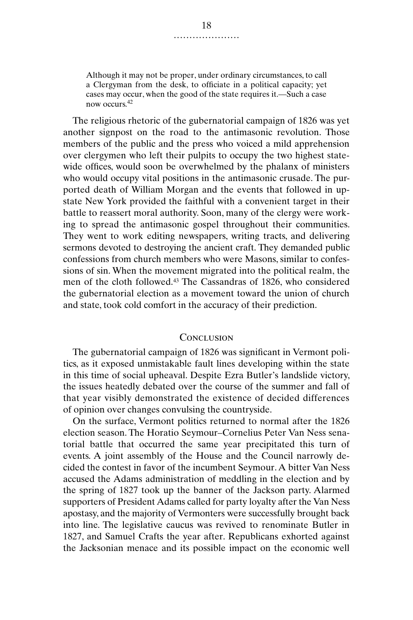Although it may not be proper, under ordinary circumstances, to call a Clergyman from the desk, to officiate in a political capacity; yet cases may occur, when the good of the state requires it.—Such a case now occurs.<sup>42</sup>

The religious rhetoric of the gubernatorial campaign of 1826 was yet another signpost on the road to the antimasonic revolution. Those members of the public and the press who voiced a mild apprehension over clergymen who left their pulpits to occupy the two highest statewide offices, would soon be overwhelmed by the phalanx of ministers who would occupy vital positions in the antimasonic crusade. The purported death of William Morgan and the events that followed in upstate New York provided the faithful with a convenient target in their battle to reassert moral authority. Soon, many of the clergy were working to spread the antimasonic gospel throughout their communities. They went to work editing newspapers, writing tracts, and delivering sermons devoted to destroying the ancient craft. They demanded public confessions from church members who were Masons, similar to confessions of sin. When the movement migrated into the political realm, the men of the cloth followed.43 The Cassandras of 1826, who considered the gubernatorial election as a movement toward the union of church and state, took cold comfort in the accuracy of their prediction.

### **CONCLUSION**

The gubernatorial campaign of 1826 was significant in Vermont politics, as it exposed unmistakable fault lines developing within the state in this time of social upheaval. Despite Ezra Butler's landslide victory, the issues heatedly debated over the course of the summer and fall of that year visibly demonstrated the existence of decided differences of opinion over changes convulsing the countryside.

On the surface, Vermont politics returned to normal after the 1826 election season. The Horatio Seymour–Cornelius Peter Van Ness senatorial battle that occurred the same year precipitated this turn of events. A joint assembly of the House and the Council narrowly decided the contest in favor of the incumbent Seymour. A bitter Van Ness accused the Adams administration of meddling in the election and by the spring of 1827 took up the banner of the Jackson party. Alarmed supporters of President Adams called for party loyalty after the Van Ness apostasy, and the majority of Vermonters were successfully brought back into line. The legislative caucus was revived to renominate Butler in 1827, and Samuel Crafts the year after. Republicans exhorted against the Jacksonian menace and its possible impact on the economic well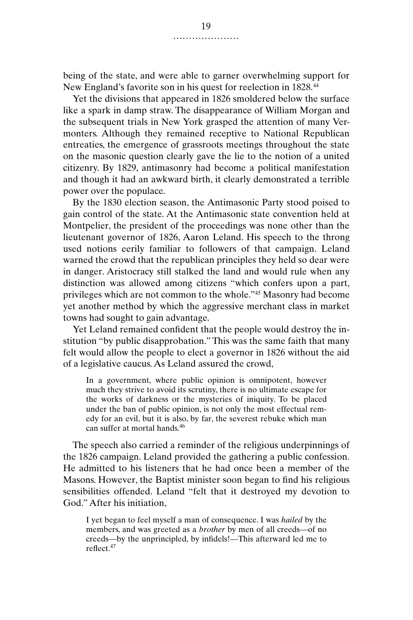being of the state, and were able to garner overwhelming support for New England's favorite son in his quest for reelection in 1828.44

Yet the divisions that appeared in 1826 smoldered below the surface like a spark in damp straw. The disappearance of William Morgan and the subsequent trials in New York grasped the attention of many Vermonters. Although they remained receptive to National Republican entreaties, the emergence of grassroots meetings throughout the state on the masonic question clearly gave the lie to the notion of a united citizenry. By 1829, antimasonry had become a political manifestation and though it had an awkward birth, it clearly demonstrated a terrible power over the populace.

By the 1830 election season, the Antimasonic Party stood poised to gain control of the state. At the Antimasonic state convention held at Montpelier, the president of the proceedings was none other than the lieutenant governor of 1826, Aaron Leland. His speech to the throng used notions eerily familiar to followers of that campaign. Leland warned the crowd that the republican principles they held so dear were in danger. Aristocracy still stalked the land and would rule when any distinction was allowed among citizens "which confers upon a part, privileges which are not common to the whole."45 Masonry had become yet another method by which the aggressive merchant class in market towns had sought to gain advantage.

Yet Leland remained confident that the people would destroy the institution "by public disapprobation." This was the same faith that many felt would allow the people to elect a governor in 1826 without the aid of a legislative caucus. As Leland assured the crowd,

In a government, where public opinion is omnipotent, however much they strive to avoid its scrutiny, there is no ultimate escape for the works of darkness or the mysteries of iniquity. To be placed under the ban of public opinion, is not only the most effectual remedy for an evil, but it is also, by far, the severest rebuke which man can suffer at mortal hands.<sup>46</sup>

The speech also carried a reminder of the religious underpinnings of the 1826 campaign. Leland provided the gathering a public confession. He admitted to his listeners that he had once been a member of the Masons. However, the Baptist minister soon began to find his religious sensibilities offended. Leland "felt that it destroyed my devotion to God." After his initiation,

I yet began to feel myself a man of consequence. I was *hailed* by the members, and was greeted as a *brother* by men of all creeds—of no creeds—by the unprincipled, by infidels!—This afterward led me to reflect.<sup>47</sup>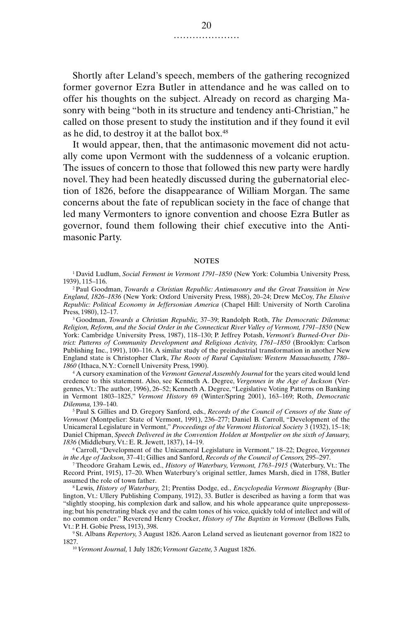Shortly after Leland's speech, members of the gathering recognized former governor Ezra Butler in attendance and he was called on to offer his thoughts on the subject. Already on record as charging Masonry with being "both in its structure and tendency anti-Christian," he called on those present to study the institution and if they found it evil as he did, to destroy it at the ballot box.48

It would appear, then, that the antimasonic movement did not actually come upon Vermont with the suddenness of a volcanic eruption. The issues of concern to those that followed this new party were hardly novel. They had been heatedly discussed during the gubernatorial election of 1826, before the disappearance of William Morgan. The same concerns about the fate of republican society in the face of change that led many Vermonters to ignore convention and choose Ezra Butler as governor, found them following their chief executive into the Antimasonic Party.

#### **NOTES**

<sup>1</sup> David Ludlum, *Social Ferment in Vermont 1791–1850* (New York: Columbia University Press, 1939), 115–116.

<sup>2</sup> Paul Goodman, *Towards a Christian Republic: Antimasonry and the Great Transition in New England, 1826–1836* (New York: Oxford University Press, 1988), 20–24; Drew McCoy, *The Elusive Republic: Political Economy in Jeffersonian America* (Chapel Hill: University of North Carolina Press, 1980), 12–17.

<sup>3</sup> Goodman, *Towards a Christian Republic,* 37–39; Randolph Roth, *The Democratic Dilemma: Religion, Reform, and the Social Order in the Connecticut River Valley of Vermont, 1791–1850* (New York: Cambridge University Press, 1987), 118–130; P. Jeffrey Potash, *Vermont's Burned-Over District: Patterns of Community Development and Religious Activity, 1761–1850* (Brooklyn: Carlson Publishing Inc., 1991), 100–116. A similar study of the preindustrial transformation in another New England state is Christopher Clark, *The Roots of Rural Capitalism: Western Massachusetts, 1780– 1860* (Ithaca, N.Y.: Cornell University Press, 1990).

<sup>4</sup> A cursory examination of the *Vermont General Assembly Journal* for the years cited would lend credence to this statement. Also, see Kenneth A. Degree, *Vergennes in the Age of Jackson* (Vergennes, Vt.: The author, 1996), 26–52; Kenneth A. Degree, "Legislative Voting Patterns on Banking in Vermont 1803–1825," *Vermont History* 69 (Winter/Spring 2001), 163–169; Roth, *Democratic Dilemma,* 139–140.

<sup>5</sup> Paul S. Gillies and D. Gregory Sanford, eds., *Records of the Council of Censors of the State of Vermont* (Montpelier: State of Vermont, 1991), 236–277; Daniel B. Carroll, "Development of the Unicameral Legislature in Vermont," *Proceedings of the Vermont Historical Society* 3 (1932), 15–18; Daniel Chipman, *Speech Delivered in the Convention Holden at Montpelier on the sixth of January, 1836* (Middlebury, Vt.: E. R. Jewett, 1837), 14–19.

<sup>6</sup> Carroll, "Development of the Unicameral Legislature in Vermont," 18–22; Degree, *Vergennes in the Age of Jackson,* 37–41; Gillies and Sanford, *Records of the Council of Censors,* 295–297.

<sup>7</sup> Theodore Graham Lewis, ed., *History of Waterbury, Vermont, 1763–1915* (Waterbury, Vt.: The Record Print, 1915), 17–20. When Waterbury's original settler, James Marsh, died in 1788, Butler assumed the role of town father.

<sup>8</sup> Lewis, *History of Waterbury,* 21; Prentiss Dodge, ed., *Encyclopedia Vermont Biography* (Burlington, Vt.: Ullery Publishing Company, 1912), 33. Butler is described as having a form that was "slightly stooping, his complexion dark and sallow, and his whole appearance quite unprepossessing; but his penetrating black eye and the calm tones of his voice, quickly told of intellect and will of no common order." Reverend Henry Crocker, *History of The Baptists in Vermont* (Bellows Falls, Vt.: P. H. Gobie Press, 1913), 398.

<sup>9</sup> St. Albans *Repertory,* 3 August 1826. Aaron Leland served as lieutenant governor from 1822 to 1827.

<sup>10</sup> *Vermont Journal,* 1 July 1826; *Vermont Gazette,* 3 August 1826.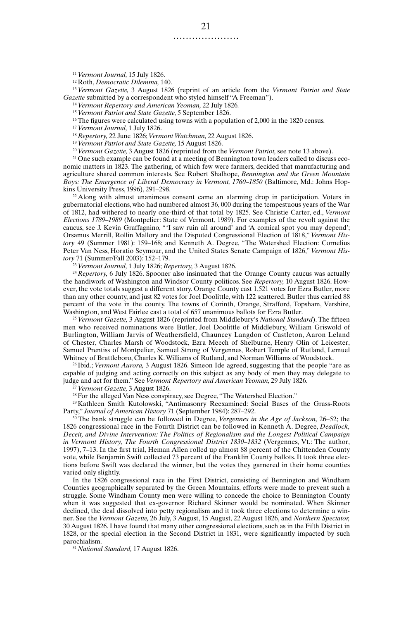<sup>11</sup> *Vermont Journal,* 15 July 1826.

<sup>12</sup> Roth, *Democratic Dilemma,* 140.

<sup>13</sup> *Vermont Gazette,* 3 August 1826 (reprint of an article from the *Vermont Patriot and State Gazette* submitted by a correspondent who styled himself "A Freeman").

<sup>14</sup> *Vermont Repertory and American Yeoman,* 22 July 1826*.*

<sup>15</sup> *Vermont Patriot and State Gazette,* 5 September 1826.

<sup>16</sup> The figures were calculated using towns with a population of 2,000 in the 1820 census.

<sup>17</sup> *Vermont Journal,* 1 July 1826.

<sup>18</sup> *Repertory,* 22 June 1826; *Vermont Watchman,* 22 August 1826.

<sup>19</sup> *Vermont Patriot and State Gazette,* 15 August 1826.

<sup>20</sup> *Vermont Gazette,* 3 August 1826 (reprinted from the *Vermont Patriot,* see note 13 above).

<sup>21</sup> One such example can be found at a meeting of Bennington town leaders called to discuss economic matters in 1823. The gathering, of which few were farmers, decided that manufacturing and agriculture shared common interests. See Robert Shalhope, *Bennington and the Green Mountain Boys: The Emergence of Liberal Democracy in Vermont, 1760–1850* (Baltimore, Md.: Johns Hopkins University Press, 1996), 291–298.

<sup>22</sup> Along with almost unanimous consent came an alarming drop in participation. Voters in gubernatorial elections, who had numbered almost 36, 000 during the tempestuous years of the War of 1812, had withered to nearly one-third of that total by 1825. See Christie Carter, ed., *Vermont Elections 1789–1989* (Montpelier: State of Vermont, 1989). For examples of the revolt against the caucus, see J. Kevin Graffagnino, "'I saw ruin all around' and 'A comical spot you may depend'; Orsamus Merrill, Rollin Mallory and the Disputed Congressional Election of 1818," *Vermont History* 49 (Summer 1981): 159–168; and Kenneth A. Degree, "The Watershed Election: Cornelius Peter Van Ness, Horatio Seymour, and the United States Senate Campaign of 1826," *Vermont History* 71 (Summer/Fall 2003): 152–179.

<sup>23</sup> *Vermont Journal,* 1 July 1826; *Repertory,* 3 August 1826.

<sup>24</sup> *Repertory,* 6 July 1826. Spooner also insinuated that the Orange County caucus was actually the handiwork of Washington and Windsor County politicos. See *Repertory,* 10 August 1826. However, the vote totals suggest a different story. Orange County cast 1,521 votes for Ezra Butler, more than any other county, and just 82 votes for Joel Doolittle, with 122 scattered. Butler thus carried 88 percent of the vote in the county. The towns of Corinth, Orange, Strafford, Topsham, Vershire, Washington, and West Fairlee cast a total of 657 unanimous ballots for Ezra Butler.

<sup>25</sup> *Vermont Gazette,* 3 August 1826 (reprinted from Middlebury's *National Standard*). The fifteen men who received nominations were Butler, Joel Doolittle of Middlebury, William Griswold of Burlington, William Jarvis of Weathersfield, Chauncey Langdon of Castleton, Aaron Leland of Chester, Charles Marsh of Woodstock, Ezra Meech of Shelburne, Henry Olin of Leicester, Samuel Prentiss of Montpelier, Samuel Strong of Vergennes, Robert Temple of Rutland, Lemuel Whitney of Brattleboro, Charles K. Williams of Rutland, and Norman Williams of Woodstock.

<sup>26</sup> Ibid.; *Vermont Aurora,* 3 August 1826. Simeon Ide agreed, suggesting that the people "are as capable of judging and acting correctly on this subject as any body of men they may delegate to judge and act for them." See *Vermont Repertory and American Yeoman,* 29 July 1826.

<sup>27</sup> *Vermont Gazette,* 3 August 1826.

<sup>28</sup> For the alleged Van Ness conspiracy, see Degree, "The Watershed Election."

<sup>29</sup> Kathleen Smith Kutolowski, "Antimasonry Reexamined: Social Bases of the Grass-Roots Party," *Journal of American History* 71 (September 1984): 287–292.

<sup>30</sup> The bank struggle can be followed in Degree, *Vergennes in the Age of Jackson,* 26–52; the 1826 congressional race in the Fourth District can be followed in Kenneth A. Degree, *Deadlock, Deceit, and Divine Intervention: The Politics of Regionalism and the Longest Political Campaign in Vermont History, The Fourth Congressional District 1830–1832* (Vergennes, Vt.: The author, 1997), 7–13. In the first trial, Heman Allen rolled up almost 88 percent of the Chittenden County vote, while Benjamin Swift collected 73 percent of the Franklin County ballots. It took three elections before Swift was declared the winner, but the votes they garnered in their home counties varied only slightly.

In the 1826 congressional race in the First District, consisting of Bennington and Windham Counties geographically separated by the Green Mountains, efforts were made to prevent such a struggle. Some Windham County men were willing to concede the choice to Bennington County when it was suggested that ex-governor Richard Skinner would be nominated. When Skinner declined, the deal dissolved into petty regionalism and it took three elections to determine a winner. See the *Vermont Gazette,* 26 July, 3 August, 15 August, 22 August 1826, and *Northern Spectator,* 30 August 1826. I have found that many other congressional elections, such as in the Fifth District in 1828, or the special election in the Second District in 1831, were significantly impacted by such parochialism.

<sup>31</sup> *National Standard,* 17 August 1826.